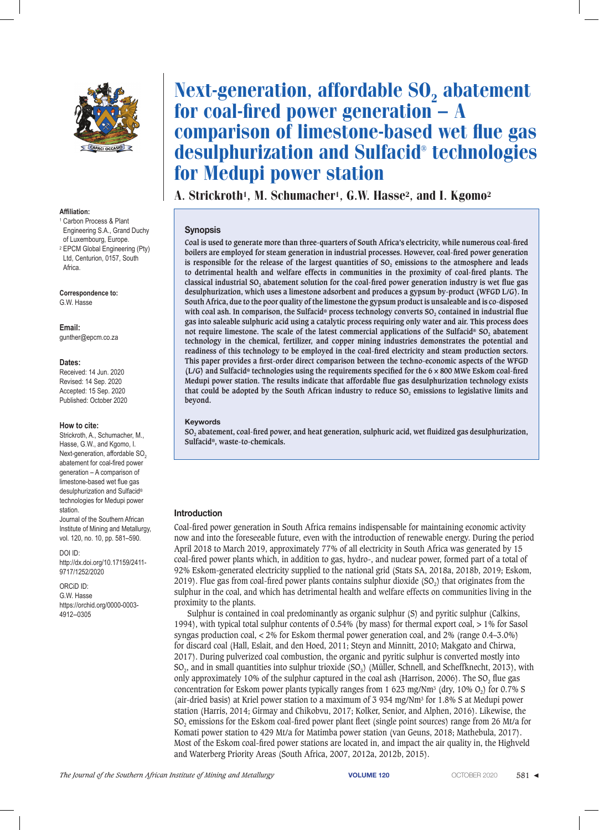

#### **Affiliation:**

- <sup>1</sup> Carbon Process & Plant Engineering S.A., Grand Duchy of Luxembourg, Europe.
- <sup>2</sup> EPCM Global Engineering (Pty) Ltd, Centurion, 0157, South Africa.

**Correspondence to:** G.W. Hasse

**Email:** gunther@epcm.co.za

#### **Dates:**

Received: 14 Jun. 2020 Revised: 14 Sep. 2020 Accepted: 15 Sep. 2020 Published: October 2020

#### **How to cite:**

Strickroth, A., Schumacher, M., Hasse, G.W., and Kgomo, I. Next-generation, affordable SO<sub>2</sub> abatement for coal-fired power generation – A comparison of limestone-based wet flue gas desulphurization and Sulfacid® technologies for Medupi power station.

Journal of the Southern African Institute of Mining and Metallurgy, vol. 120, no. 10, pp. 581–590.

DOI ID:

http://dx.doi.org/10.17159/2411- 9717/1252/2020

ORCiD ID:

G.W. Hasse https://orchid.org/0000-0003- 4912--0305

# Next-generation, affordable SO<sub>2</sub> abatement for coal-fired power generation – A comparison of limestone-based wet flue gas desulphurization and Sulfacid® technologies for Medupi power station

A. Strickroth<sup>1</sup>, M. Schumacher<sup>1</sup>, G.W. Hasse<sup>2</sup>, and I. Kgomo<sup>2</sup>

#### **Synopsis**

**Coal is used to generate more than three-quarters of South Africa's electricity, while numerous coal-fired boilers are employed for steam generation in industrial processes. However, coal-fired power generation**  is responsible for the release of the largest quantities of SO<sub>2</sub> emissions to the atmosphere and leads **to detrimental health and welfare effects in communities in the proximity of coal-fired plants. The**  classical industrial SO<sub>2</sub> abatement solution for the coal-fired power generation industry is wet flue gas **desulphurization, which uses a limestone adsorbent and produces a gypsum by-product (WFGD L/G). In South Africa, due to the poor quality of the limestone the gypsum product is unsaleable and is co-disposed**  with coal ash. In comparison, the Sulfacid<sup>®</sup> process technology converts SO<sub>2</sub> contained in industrial flue **gas into saleable sulphuric acid using a catalytic process requiring only water and air. This process does**  not require limestone. The scale of the latest commercial applications of the Sulfacid® SO<sub>2</sub> abatement **technology in the chemical, fertilizer, and copper mining industries demonstrates the potential and readiness of this technology to be employed in the coal-fired electricity and steam production sectors. This paper provides a first-order direct comparison between the techno-economic aspects of the WFGD (L/G) and Sulfacid® technologies using the requirements specified for the 6 × 800 MWe Eskom coal-fired Medupi power station. The results indicate that affordable flue gas desulphurization technology exists**  that could be adopted by the South African industry to reduce SO<sub>2</sub> emissions to legislative limits and **beyond.** 

#### **Keywords**

**SO2 abatement, coal-fired power, and heat generation, sulphuric acid, wet fluidized gas desulphurization, Sulfacid®, waste-to-chemicals.**

#### **Introduction**

Coal-fired power generation in South Africa remains indispensable for maintaining economic activity now and into the foreseeable future, even with the introduction of renewable energy. During the period April 2018 to March 2019, approximately 77% of all electricity in South Africa was generated by 15 coal-fired power plants which, in addition to gas, hydro-, and nuclear power, formed part of a total of 92% Eskom-generated electricity supplied to the national grid (Stats SA, 2018a, 2018b, 2019; Eskom, 2019). Flue gas from coal-fired power plants contains sulphur dioxide (SO<sub>2</sub>) that originates from the sulphur in the coal, and which has detrimental health and welfare effects on communities living in the proximity to the plants.

Sulphur is contained in coal predominantly as organic sulphur (S) and pyritic sulphur (Calkins, 1994), with typical total sulphur contents of 0.54% (by mass) for thermal export coal, > 1% for Sasol syngas production coal, < 2% for Eskom thermal power generation coal, and 2% (range 0.4–3.0%) for discard coal (Hall, Eslait, and den Hoed, 2011; Steyn and Minnitt, 2010; Makgato and Chirwa, 2017). During pulverized coal combustion, the organic and pyritic sulphur is converted mostly into  $SO<sub>2</sub>$ , and in small quantities into sulphur trioxide  $(SO<sub>3</sub>)$  (Müller, Schnell, and Scheffknecht, 2013), with only approximately 10% of the sulphur captured in the coal ash (Harrison, 2006). The  $SO<sub>2</sub>$  flue gas concentration for Eskom power plants typically ranges from 1 623 mg/Nm<sup>3</sup> (dry, 10% O<sub>2</sub>) for 0.7% S (air-dried basis) at Kriel power station to a maximum of 3 934 mg/Nm3 for 1.8% S at Medupi power station (Harris, 2014; Girmay and Chikobvu, 2017; Kolker, Senior, and Alphen, 2016). Likewise, the SO<sub>2</sub> emissions for the Eskom coal-fired power plant fleet (single point sources) range from 26 Mt/a for Komati power station to 429 Mt/a for Matimba power station (van Geuns, 2018; Mathebula, 2017). Most of the Eskom coal-fired power stations are located in, and impact the air quality in, the Highveld and Waterberg Priority Areas (South Africa, 2007, 2012a, 2012b, 2015).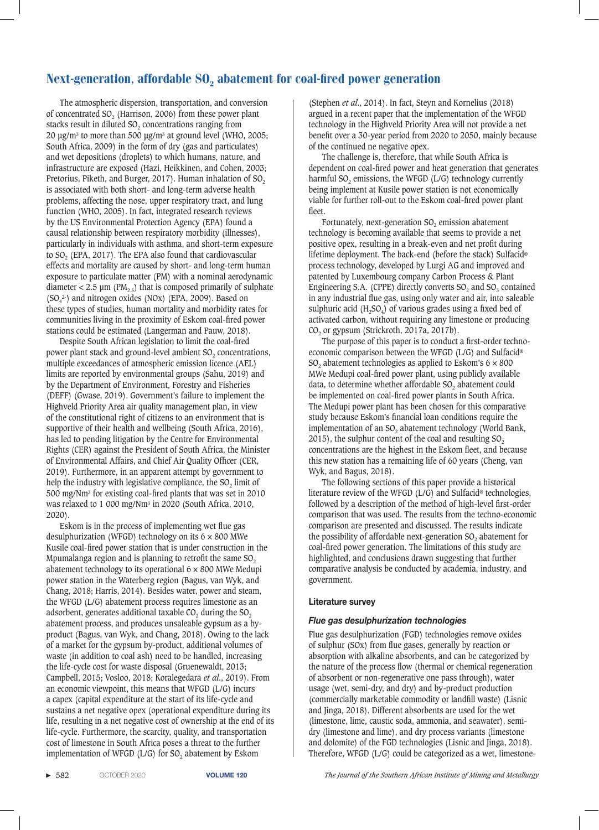The atmospheric dispersion, transportation, and conversion of concentrated SO<sub>2</sub> (Harrison, 2006) from these power plant stacks result in diluted SO<sub>2</sub> concentrations ranging from 20 μg/m<sup>3</sup> to more than 500 μg/m<sup>3</sup> at ground level (WHO, 2005; South Africa, 2009) in the form of dry (gas and particulates) and wet depositions (droplets) to which humans, nature, and infrastructure are exposed (Hazi, Heikkinen, and Cohen, 2003; Pretorius, Piketh, and Burger, 2017). Human inhalation of SO<sub>2</sub> is associated with both short- and long-term adverse health problems, affecting the nose, upper respiratory tract, and lung function (WHO, 2005). In fact, integrated research reviews by the US Environmental Protection Agency (EPA) found a causal relationship between respiratory morbidity (illnesses), particularly in individuals with asthma, and short-term exposure to SO<sub>2</sub> (EPA, 2017). The EPA also found that cardiovascular effects and mortality are caused by short- and long-term human exposure to particulate matter (PM) with a nominal aerodynamic diameter  $< 2.5$  µm (PM<sub>2.5</sub>) that is composed primarily of sulphate  $(SO<sub>4</sub><sup>2</sup>)$  and nitrogen oxides (NOx) (EPA, 2009). Based on these types of studies, human mortality and morbidity rates for communities living in the proximity of Eskom coal-fired power stations could be estimated (Langerman and Pauw, 2018).

Despite South African legislation to limit the coal-fired power plant stack and ground-level ambient SO<sub>2</sub> concentrations, multiple exceedances of atmospheric emission licence (AEL) limits are reported by environmental groups (Sahu, 2019) and by the Department of Environment, Forestry and Fisheries (DEFF) (Gwase, 2019). Government's failure to implement the Highveld Priority Area air quality management plan, in view of the constitutional right of citizens to an environment that is supportive of their health and wellbeing (South Africa, 2016), has led to pending litigation by the Centre for Environmental Rights (CER) against the President of South Africa, the Minister of Environmental Affairs, and Chief Air Quality Officer (CER, 2019). Furthermore, in an apparent attempt by government to help the industry with legislative compliance, the  $SO<sub>2</sub>$  limit of 500 mg/Nm3 for existing coal-fired plants that was set in 2010 was relaxed to 1 000 mg/Nm3 in 2020 (South Africa, 2010, 2020).

Eskom is in the process of implementing wet flue gas desulphurization (WFGD) technology on its  $6 \times 800$  MWe Kusile coal-fired power station that is under construction in the Mpumalanga region and is planning to retrofit the same  $SO<sub>2</sub>$ . abatement technology to its operational  $6 \times 800$  MWe Medupi power station in the Waterberg region (Bagus, van Wyk, and Chang, 2018; Harris, 2014). Besides water, power and steam, the WFGD (L/G) abatement process requires limestone as an adsorbent, generates additional taxable  $CO<sub>2</sub>$  during the  $SO<sub>2</sub>$ abatement process, and produces unsaleable gypsum as a byproduct (Bagus, van Wyk, and Chang, 2018). Owing to the lack of a market for the gypsum by-product, additional volumes of waste (in addition to coal ash) need to be handled, increasing the life-cycle cost for waste disposal (Gruenewaldt, 2013; Campbell, 2015; Vosloo, 2018; Koralegedara *et al*., 2019). From an economic viewpoint, this means that WFGD (L/G) incurs a capex (capital expenditure at the start of its life-cycle and sustains a net negative opex (operational expenditure during its life, resulting in a net negative cost of ownership at the end of its life-cycle. Furthermore, the scarcity, quality, and transportation cost of limestone in South Africa poses a threat to the further implementation of WFGD (L/G) for  $SO_2$  abatement by Eskom

(Stephen *et al*., 2014). In fact, Steyn and Kornelius (2018) argued in a recent paper that the implementation of the WFGD technology in the Highveld Priority Area will not provide a net benefit over a 30-year period from 2020 to 2050, mainly because of the continued ne negative opex.

The challenge is, therefore, that while South Africa is dependent on coal-fired power and heat generation that generates harmful  $SO<sub>2</sub>$  emissions, the WFGD (L/G) technology currently being implement at Kusile power station is not economically viable for further roll-out to the Eskom coal-fired power plant fleet.

Fortunately, next-generation  $SO<sub>2</sub>$  emission abatement technology is becoming available that seems to provide a net positive opex, resulting in a break-even and net profit during lifetime deployment. The back-end (before the stack) Sulfacid® process technology, developed by Lurgi AG and improved and patented by Luxembourg company Carbon Process & Plant Engineering S.A. (CPPE) directly converts  $SO_2$  and  $SO_3$  contained in any industrial flue gas, using only water and air, into saleable sulphuric acid  $(H_2SO_4)$  of various grades using a fixed bed of activated carbon, without requiring any limestone or producing  $CO<sub>2</sub>$  or gypsum (Strickroth, 2017a, 2017b).

The purpose of this paper is to conduct a first-order technoeconomic comparison between the WFGD (L/G) and Sulfacid® SO<sub>2</sub> abatement technologies as applied to Eskom's  $6 \times 800$ MWe Medupi coal-fired power plant, using publicly available data, to determine whether affordable SO<sub>2</sub> abatement could be implemented on coal-fired power plants in South Africa. The Medupi power plant has been chosen for this comparative study because Eskom's financial loan conditions require the implementation of an SO<sub>2</sub> abatement technology (World Bank,  $2015$ ), the sulphur content of the coal and resulting SO<sub>2</sub> concentrations are the highest in the Eskom fleet, and because this new station has a remaining life of 60 years (Cheng, van Wyk, and Bagus, 2018).

The following sections of this paper provide a historical literature review of the WFGD (L/G) and Sulfacid® technologies, followed by a description of the method of high-level first-order comparison that was used. The results from the techno-economic comparison are presented and discussed. The results indicate the possibility of affordable next-generation SO<sub>2</sub> abatement for coal-fired power generation. The limitations of this study are highlighted, and conclusions drawn suggesting that further comparative analysis be conducted by academia, industry, and government.

#### **Literature survey**

# *Flue gas desulphurization technologies*

Flue gas desulphurization (FGD) technologies remove oxides of sulphur (SOx) from flue gases, generally by reaction or absorption with alkaline absorbents, and can be categorized by the nature of the process flow (thermal or chemical regeneration of absorbent or non-regenerative one pass through), water usage (wet, semi-dry, and dry) and by-product production (commercially marketable commodity or landfill waste) (Lisnic and Jinga, 2018). Different absorbents are used for the wet (limestone, lime, caustic soda, ammonia, and seawater), semidry (limestone and lime), and dry process variants (limestone and dolomite) of the FGD technologies (Lisnic and Jinga, 2018). Therefore, WFGD (L/G) could be categorized as a wet, limestone-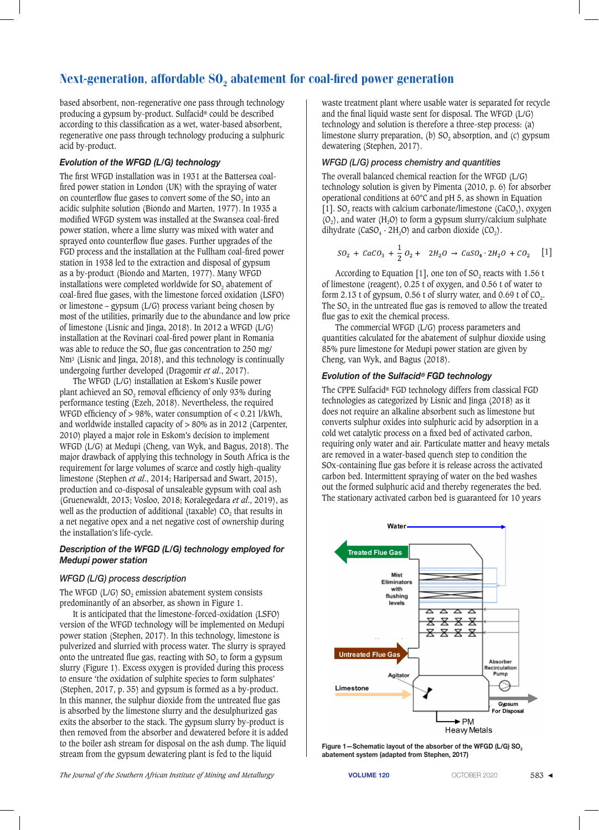based absorbent, non-regenerative one pass through technology producing a gypsum by-product. Sulfacid® could be described according to this classification as a wet, water-based absorbent, regenerative one pass through technology producing a sulphuric acid by-product.

# *Evolution of the WFGD (L/G) technology*

The first WFGD installation was in 1931 at the Battersea coalfired power station in London (UK) with the spraying of water on counterflow flue gases to convert some of the SO<sub>2</sub> into an acidic sulphite solution (Biondo and Marten, 1977). In 1935 a modified WFGD system was installed at the Swansea coal-fired power station, where a lime slurry was mixed with water and sprayed onto counterflow flue gases. Further upgrades of the FGD process and the installation at the Fullham coal-fired power station in 1938 led to the extraction and disposal of gypsum as a by-product (Biondo and Marten, 1977). Many WFGD installations were completed worldwide for SO<sub>2</sub> abatement of coal-fired flue gases, with the limestone forced oxidation (LSFO) or limestone – gypsum (L/G) process variant being chosen by most of the utilities, primarily due to the abundance and low price of limestone (Lisnic and Jinga, 2018). In 2012 a WFGD (L/G) installation at the Rovinari coal-fired power plant in Romania was able to reduce the  $SO<sub>2</sub>$  flue gas concentration to 250 mg/ Nm3 (Lisnic and Jinga, 2018), and this technology is continually undergoing further developed (Dragomir *et al*., 2017).

The WFGD (L/G) installation at Eskom's Kusile power plant achieved an SO<sub>2</sub> removal efficiency of only 93% during performance testing (Ezeh, 2018). Nevertheless, the required WFGD efficiency of > 98%, water consumption of < 0.21 l/kWh, and worldwide installed capacity of > 80% as in 2012 (Carpenter, 2010) played a major role in Eskom's decision to implement WFGD (L/G) at Medupi (Cheng, van Wyk, and Bagus, 2018). The major drawback of applying this technology in South Africa is the requirement for large volumes of scarce and costly high-quality limestone (Stephen *et al*., 2014; Haripersad and Swart, 2015), production and co-disposal of unsaleable gypsum with coal ash (Gruenewaldt, 2013; Vosloo, 2018; Koralegedara *et al*., 2019), as well as the production of additional (taxable)  $CO<sub>2</sub>$  that results in a net negative opex and a net negative cost of ownership during the installation's life-cycle.

### *Description of the WFGD (L/G) technology employed for Medupi power station*

# *WFGD (L/G) process description*

The WFGD  $(L/G)$  SO<sub>2</sub> emission abatement system consists predominantly of an absorber, as shown in Figure 1.

It is anticipated that the limestone-forced-oxidation (LSFO) version of the WFGD technology will be implemented on Medupi power station (Stephen, 2017). In this technology, limestone is pulverized and slurried with process water. The slurry is sprayed onto the untreated flue gas, reacting with  $SO<sub>2</sub>$  to form a gypsum slurry (Figure 1). Excess oxygen is provided during this process to ensure 'the oxidation of sulphite species to form sulphates' (Stephen, 2017, p. 35) and gypsum is formed as a by-product. In this manner, the sulphur dioxide from the untreated flue gas is absorbed by the limestone slurry and the desulphurized gas exits the absorber to the stack. The gypsum slurry by-product is then removed from the absorber and dewatered before it is added to the boiler ash stream for disposal on the ash dump. The liquid stream from the gypsum dewatering plant is fed to the liquid

waste treatment plant where usable water is separated for recycle and the final liquid waste sent for disposal. The WFGD (L/G) technology and solution is therefore a three-step process: (a) limestone slurry preparation, (b)  $SO<sub>2</sub>$ , absorption, and (c) gypsum dewatering (Stephen, 2017).

# *WFGD (L/G) process chemistry and quantities*

The overall balanced chemical reaction for the WFGD (L/G) technology solution is given by Pimenta (2010, p. 6) for absorber operational conditions at 60°C and pH 5, as shown in Equation [1]. SO<sub>2</sub> reacts with calcium carbonate/limestone (CaCO<sub>3</sub>), oxygen  $(0, 0)$ , and water  $(H, 0)$  to form a gypsum slurry/calcium sulphate dihydrate (CaSO<sub>4</sub> · 2H<sub>2</sub>O) and carbon dioxide (CO<sub>2</sub>).

$$
SO_2 + CaCO_3 + \frac{1}{2}O_2 + 2H_2O \rightarrow CaSO_4 \cdot 2H_2O + CO_2 \quad [1]
$$

According to Equation [1], one ton of  $SO<sub>2</sub>$  reacts with 1.56 t of limestone (reagent), 0.25 t of oxygen, and 0.56 t of water to form 2.13 t of gypsum, 0.56 t of slurry water, and 0.69 t of  $CO<sub>2</sub>$ . The  $SO<sub>2</sub>$  in the untreated flue gas is removed to allow the treated flue gas to exit the chemical process.

The commercial WFGD (L/G) process parameters and quantities calculated for the abatement of sulphur dioxide using 85% pure limestone for Medupi power station are given by Cheng, van Wyk, and Bagus (2018).

# *Evolution of the Sulfacid® FGD technology*

The CPPE Sulfacid® FGD technology differs from classical FGD technologies as categorized by Lisnic and Jinga (2018) as it does not require an alkaline absorbent such as limestone but converts sulphur oxides into sulphuric acid by adsorption in a cold wet catalytic process on a fixed bed of activated carbon, requiring only water and air. Particulate matter and heavy metals are removed in a water-based quench step to condition the SOx-containing flue gas before it is release across the activated carbon bed. Intermittent spraying of water on the bed washes out the formed sulphuric acid and thereby regenerates the bed. The stationary activated carbon bed is guaranteed for 10 years



Figure 1-Schematic layout of the absorber of the WFGD (L/G) SO<sub>2</sub> **abatement system (adapted from Stephen, 2017)**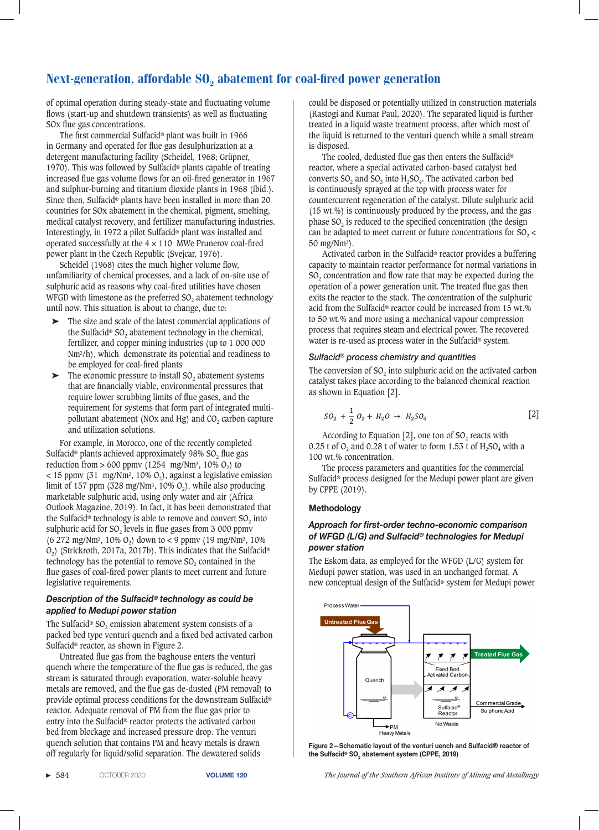of optimal operation during steady-state and fluctuating volume flows (start-up and shutdown transients) as well as fluctuating SOx flue gas concentrations.

The first commercial Sulfacid® plant was built in 1966 in Germany and operated for flue gas desulphurization at a detergent manufacturing facility (Scheidel, 1968; Grüpner, 1970). This was followed by Sulfacid® plants capable of treating increased flue gas volume flows for an oil-fired generator in 1967 and sulphur-burning and titanium dioxide plants in 1968 (ibid.). Since then, Sulfacid® plants have been installed in more than 20 countries for SOx abatement in the chemical, pigment, smelting, medical catalyst recovery, and fertilizer manufacturing industries. Interestingly, in 1972 a pilot Sulfacid® plant was installed and operated successfully at the  $4 \times 110$  MWe Prunerov coal-fired power plant in the Czech Republic (Svejcar, 1976).

Scheidel (1968) cites the much higher volume flow, unfamiliarity of chemical processes, and a lack of on-site use of sulphuric acid as reasons why coal-fired utilities have chosen WFGD with limestone as the preferred  $SO<sub>2</sub>$  abatement technology until now. This situation is about to change, due to:

- ➤ The size and scale of the latest commercial applications of the Sulfacid® SO<sub>2</sub> abatement technology in the chemical, fertilizer, and copper mining industries (up to 1 000 000 Nm3/h), which demonstrate its potential and readiness to be employed for coal-fired plants
- $\blacktriangleright$  The economic pressure to install SO<sub>2</sub> abatement systems that are financially viable, environmental pressures that require lower scrubbing limits of flue gases, and the requirement for systems that form part of integrated multipollutant abatement (NOx and Hg) and  $CO<sub>2</sub>$  carbon capture and utilization solutions.

For example, in Morocco, one of the recently completed Sulfacid® plants achieved approximately 98% SO<sub>2</sub> flue gas reduction from  $> 600$  ppmv (1254 mg/Nm<sup>3</sup>, 10% O<sub>2</sub>) to  $<$  15 ppmv (31 mg/Nm<sup>3</sup>, 10% O<sub>2</sub>), against a legislative emission limit of 157 ppm (328 mg/Nm<sup>3</sup>, 10%  $O<sub>2</sub>$ ), while also producing marketable sulphuric acid, using only water and air (Africa Outlook Magazine, 2019). In fact, it has been demonstrated that the Sulfacid<sup>®</sup> technology is able to remove and convert  $SO<sub>2</sub>$  into sulphuric acid for  $SO<sub>2</sub>$  levels in flue gases from 3 000 ppmv  $(6\ 272\ \text{mg/Nm}^3, 10\% \text{ O}_2)$  down to < 9 ppmv  $(19\ \text{mg/Nm}^3, 10\%$ O<sub>2</sub>) (Strickroth, 2017a, 2017b). This indicates that the Sulfacid® technology has the potential to remove SO<sub>2</sub> contained in the flue gases of coal-fired power plants to meet current and future legislative requirements.

### *Description of the Sulfacid® technology as could be applied to Medupi power station*

The Sulfacid® SO<sub>2</sub> emission abatement system consists of a packed bed type venturi quench and a fixed bed activated carbon Sulfacid® reactor, as shown in Figure 2.

Untreated flue gas from the baghouse enters the venturi quench where the temperature of the flue gas is reduced, the gas stream is saturated through evaporation, water-soluble heavy metals are removed, and the flue gas de-dusted (PM removal) to provide optimal process conditions for the downstream Sulfacid® reactor. Adequate removal of PM from the flue gas prior to entry into the Sulfacid® reactor protects the activated carbon bed from blockage and increased pressure drop. The venturi quench solution that contains PM and heavy metals is drawn off regularly for liquid/solid separation. The dewatered solids

could be disposed or potentially utilized in construction materials (Rastogi and Kumar Paul, 2020). The separated liquid is further treated in a liquid waste treatment process, after which most of the liquid is returned to the venturi quench while a small stream is disposed.

The cooled, dedusted flue gas then enters the Sulfacid® reactor, where a special activated carbon-based catalyst bed converts  $SO_2$  and  $SO_3$  into  $H_2SO_4$ . The activated carbon bed is continuously sprayed at the top with process water for countercurrent regeneration of the catalyst. Dilute sulphuric acid (15 wt.%) is continuously produced by the process, and the gas phase SO<sub>2</sub> is reduced to the specified concentration (the design can be adapted to meet current or future concentrations for  $SO<sub>2</sub>$ 50 mg/Nm3).

Activated carbon in the Sulfacid® reactor provides a buffering capacity to maintain reactor performance for normal variations in SO<sub>2</sub> concentration and flow rate that may be expected during the operation of a power generation unit. The treated flue gas then exits the reactor to the stack. The concentration of the sulphuric acid from the Sulfacid® reactor could be increased from 15 wt.% to 50 wt.% and more using a mechanical vapour compression process that requires steam and electrical power. The recovered water is re-used as process water in the Sulfacid® system.

#### *Sulfacid® process chemistry and quantities*

The conversion of SO<sub>2</sub> into sulphuric acid on the activated carbon catalyst takes place according to the balanced chemical reaction as shown in Equation [2].

$$
SO_2 + \frac{1}{2} O_2 + H_2 O \to H_2 SO_4
$$
 [2]

According to Equation [2], one ton of  $SO<sub>2</sub>$  reacts with 0.25 t of  $O_2$  and 0.28 t of water to form 1.53 t of  $H_2SO_4$  with a 100 wt.% concentration.

The process parameters and quantities for the commercial Sulfacid® process designed for the Medupi power plant are given by CPPE (2019).

#### **Methodology**

#### *Approach for first-order techno-economic comparison of WFGD (L/G) and Sulfacid® technologies for Medupi power station*

The Eskom data, as employed for the WFGD (L/G) system for Medupi power station, was used in an unchanged format. A new conceptual design of the Sulfacid® system for Medupi power



**Figure 2—Schematic layout of the venturi uench and Sulfacid® reactor of**  the Sulfacid® SO<sub>2</sub> abatement system (CPPE, 2019)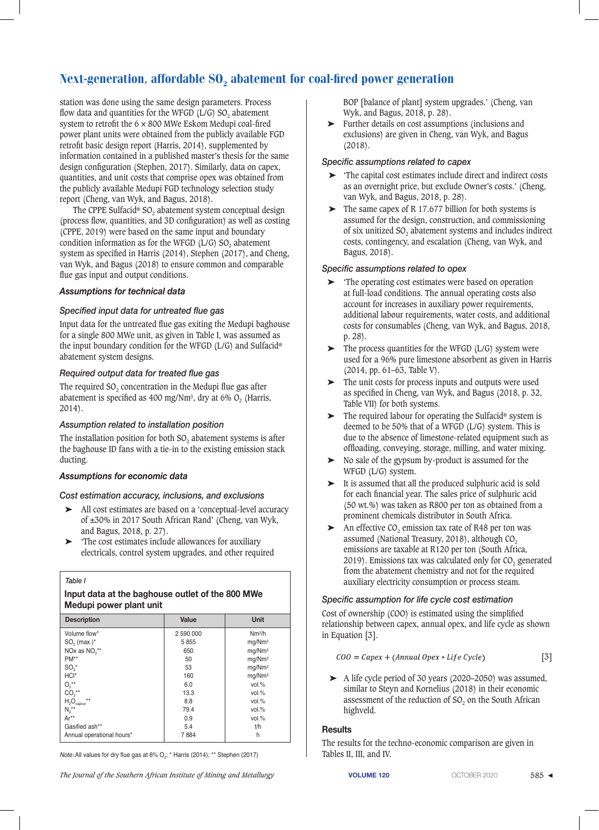station was done using the same design parameters. Process flow data and quantities for the WFGD  $(L/G)$  SO<sub>2</sub> abatement system to retrofit the 6 × 800 MWe Eskom Medupi coal-fired power plant units were obtained from the publicly available FGD retrofit basic design report (Harris, 2014), supplemented by information contained in a published master's thesis for the same design configuration (Stephen, 2017). Similarly, data on capex, quantities, and unit costs that comprise opex was obtained from the publicly available Medupi FGD technology selection study report (Cheng, van Wyk, and Bagus, 2018).

The CPPE Sulfacid®  $SO<sub>2</sub>$  abatement system conceptual design (process flow, quantities, and 3D configuration) as well as costing (CPPE, 2019) were based on the same input and boundary condition information as for the WFGD (L/G)  $SO<sub>2</sub>$  abatement system as specified in Harris (2014), Stephen (2017), and Cheng, van Wyk, and Bagus (2018) to ensure common and comparable flue gas input and output conditions.

### *Assumptions for technical data*

### *Specified input data for untreated flue gas*

Input data for the untreated flue gas exiting the Medupi baghouse for a single 800 MWe unit, as given in Table I, was assumed as the input boundary condition for the WFGD (L/G) and Sulfacid® abatement system designs.

### *Required output data for treated flue gas*

The required  $SO<sub>2</sub>$  concentration in the Medupi flue gas after abatement is specified as 400 mg/Nm<sup>3</sup>, dry at 6%  $O_2$  (Harris, 2014).

# *Assumption related to installation position*

The installation position for both  $SO<sub>2</sub>$  abatement systems is after the baghouse ID fans with a tie-in to the existing emission stack ducting.

# *Assumptions for economic data*

#### *Cost estimation accuracy, inclusions, and exclusions*

- ➤ All cost estimates are based on a 'conceptual-level accuracy of ±30% in 2017 South African Rand' (Cheng, van Wyk, and Bagus, 2018, p. 27).
- ➤ 'The cost estimates include allowances for auxiliary electricals, control system upgrades, and other required

#### *Table I*

# **Input data at the baghouse outlet of the 800 MWe Medupi power plant unit**

| <b>Description</b>                    | Value     | <b>Unit</b>        |
|---------------------------------------|-----------|--------------------|
| Volume flow*                          | 2 590 000 | Nm <sup>3</sup> /h |
| $SO2$ (max.) <sup>*</sup>             | 5855      | mg/Nm <sup>3</sup> |
| NO <sub>x</sub> as NO <sub>2</sub> ** | 650       | mg/Nm <sup>3</sup> |
| PM**                                  | 50        | mg/Nm <sup>3</sup> |
| $SO_{3}^*$                            | 53        | mg/Nm <sup>3</sup> |
| HCI*                                  | 160       | mg/Nm <sup>3</sup> |
| $O_2$ **                              | 6.0       | $vol.$ %           |
| $CO2**$                               | 13.3      | $vol.$ %           |
| $**$<br>$H_2O_{vapour}$               | 8.8       | $vol.$ %           |
| $N_{2}^{\star\star}$                  | 79.4      | vol.%              |
| Ar**                                  | 0.9       | $vol.$ %           |
| Gasified ash**                        | 5.4       | t/h                |
| Annual operational hours*             | 7884      | h                  |

*Note:* All values for dry flue gas at 6% O<sub>2</sub>; \* Harris (2014); \*\* Stephen (2017)

BOP [balance of plant] system upgrades.' (Cheng, van Wyk, and Bagus, 2018, p. 28).

➤ Further details on cost assumptions (inclusions and exclusions) are given in Cheng, van Wyk, and Bagus (2018).

### *Specific assumptions related to capex*

- ➤ 'The capital cost estimates include direct and indirect costs as an overnight price, but exclude Owner's costs.' (Cheng, van Wyk, and Bagus, 2018, p. 28).
- $\blacktriangleright$  The same capex of R 17.677 billion for both systems is assumed for the design, construction, and commissioning of six unitized SO<sub>2</sub> abatement systems and includes indirect costs, contingency, and escalation (Cheng, van Wyk, and Bagus, 2018).

#### *Specific assumptions related to opex*

- ➤ 'The operating cost estimates were based on operation at full-load conditions. The annual operating costs also account for increases in auxiliary power requirements, additional labour requirements, water costs, and additional costs for consumables (Cheng, van Wyk, and Bagus, 2018, p. 28).
- ➤ The process quantities for the WFGD (L/G) system were used for a 96% pure limestone absorbent as given in Harris (2014, pp. 61–63, Table V).
- ➤ The unit costs for process inputs and outputs were used as specified in Cheng, van Wyk, and Bagus (2018, p. 32, Table VII) for both systems.
- ➤ The required labour for operating the Sulfacid® system is deemed to be 50% that of a WFGD (L/G) system. This is due to the absence of limestone-related equipment such as offloading, conveying, storage, milling, and water mixing.
- No sale of the gypsum by-product is assumed for the WFGD (L/G) system.
- ➤ It is assumed that all the produced sulphuric acid is sold for each financial year. The sales price of sulphuric acid (50 wt.%) was taken as R800 per ton as obtained from a prominent chemicals distributor in South Africa.
- ► An effective CO<sub>2</sub> emission tax rate of R48 per ton was assumed (National Treasury, 2018), although  $CO<sub>2</sub>$ emissions are taxable at R120 per ton (South Africa,  $2019$ ). Emissions tax was calculated only for  $CO<sub>2</sub>$  generated from the abatement chemistry and not for the required auxiliary electricity consumption or process steam.

#### *Specific assumption for life cycle cost estimation*

Cost of ownership (COO) is estimated using the simplified relationship between capex, annual opex, and life cycle as shown in Equation [3].

$$
COO = Capex + (Annual \, Oper * \, Life \, Cycle) \tag{3}
$$

➤ A life cycle period of 30 years (2020–2050) was assumed, similar to Steyn and Kornelius (2018) in their economic assessment of the reduction of SO<sub>2</sub> on the South African highveld.

#### **Results**

The results for the techno-economic comparison are given in Tables II, III, and IV.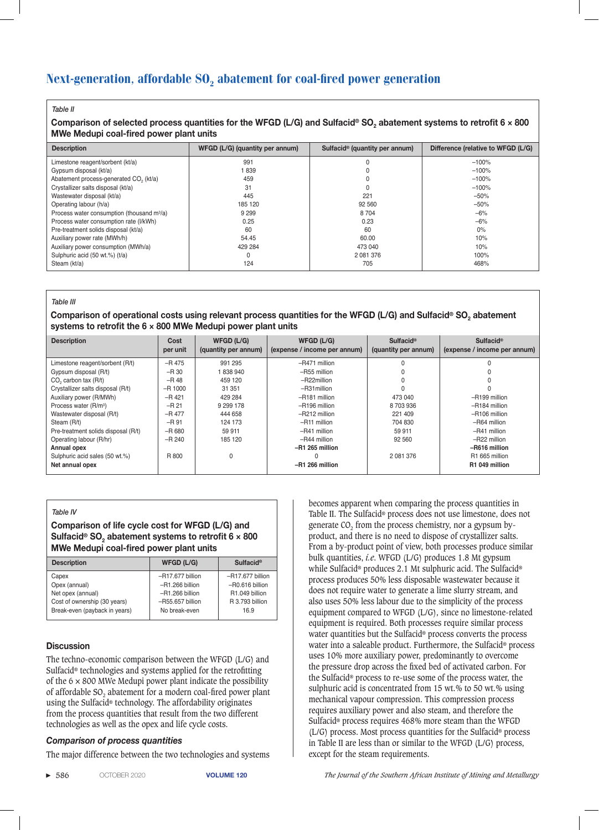#### *Table II*

 **Comparison of selected process quantities for the WFGD (L/G) and Sulfacid® SO2 abatement systems to retrofit 6 × 800 MWe Medupi coal-fired power plant units**

| <b>Description</b>                                     | WFGD (L/G) (quantity per annum) | Sulfacid <sup>®</sup> (quantity per annum) | Difference (relative to WFGD (L/G) |
|--------------------------------------------------------|---------------------------------|--------------------------------------------|------------------------------------|
| Limestone reagent/sorbent (kt/a)                       | 991                             |                                            | $-100%$                            |
| Gypsum disposal (kt/a)                                 | 1839                            |                                            | $-100%$                            |
| Abatement process-generated CO <sub>2</sub> (kt/a)     | 459                             |                                            | $-100%$                            |
| Crystallizer salts disposal (kt/a)                     | 31                              |                                            | $-100%$                            |
| Wastewater disposal (kt/a)                             | 445                             | 221                                        | $-50%$                             |
| Operating labour (h/a)                                 | 185 120                         | 92 560                                     | $-50%$                             |
| Process water consumption (thousand m <sup>3</sup> /a) | 9 2 9 9                         | 8 7 0 4                                    | $-6%$                              |
| Process water consumption rate (I/kWh)                 | 0.25                            | 0.23                                       | $-6%$                              |
| Pre-treatment solids disposal (kt/a)                   | 60                              | 60                                         | 0%                                 |
| Auxiliary power rate (MWh/h)                           | 54.45                           | 60.00                                      | 10%                                |
| Auxiliary power consumption (MWh/a)                    | 429 284                         | 473 040                                    | 10%                                |
| Sulphuric acid (50 wt.%) (t/a)                         | $\Omega$                        | 2 081 376                                  | 100%                               |
| Steam (kt/a)                                           | 124                             | 705                                        | 468%                               |

#### *Table III*

Comparison of operational costs using relevant process quantities for the WFGD (L/G) and Sulfacid<sup>®</sup> SO<sub>2</sub> abatement **systems to retrofit the 6 × 800 MWe Medupi power plant units**

| <b>Description</b>                  | Cost<br>per unit | WFGD (L/G)<br>(quantity per annum) | WFGD (L/G)<br>(expense / income per annum) | <b>Sulfacid®</b><br>(quantity per annum) | <b>Sulfacid®</b><br>(expense / income per annum) |
|-------------------------------------|------------------|------------------------------------|--------------------------------------------|------------------------------------------|--------------------------------------------------|
| Limestone reagent/sorbent (R/t)     | $-R$ 475         | 991 295                            | -R471 million                              |                                          |                                                  |
| Gypsum disposal (R/t)               | $-R30$           | 1838940                            | -R55 million                               |                                          |                                                  |
| CO <sub>2</sub> carbon tax (R/t)    | $-R$ 48          | 459 120                            | -R22million                                |                                          |                                                  |
| Crystallizer salts disposal (R/t)   | $-R$ 1000        | 31 351                             | $-R31$ million                             |                                          |                                                  |
| Auxiliary power (R/MWh)             | $-R$ 421         | 429 284                            | -R181 million                              | 473 040                                  | -R199 million                                    |
| Process water (R/m <sup>3</sup> )   | $-R21$           | 9 299 178                          | -R196 million                              | 8703936                                  | -R184 million                                    |
| Wastewater disposal (R/t)           | $-R$ 477         | 444 658                            | $-R212$ million                            | 221 409                                  | -R106 million                                    |
| Steam (R/t)                         | $-R$ 91          | 124 173                            | -R11 million                               | 704 830                                  | -R64 million                                     |
| Pre-treatment solids disposal (R/t) | $-R680$          | 59 911                             | -R41 million                               | 59 911                                   | -R41 million                                     |
| Operating labour (R/hr)             | $-R$ 240         | 185 120                            | -R44 million                               | 92 560                                   | -R22 million                                     |
| Annual opex                         |                  |                                    | -R1 265 million                            |                                          | -R616 million                                    |
| Sulphuric acid sales (50 wt.%)      | R 800            |                                    |                                            | 2 081 376                                | R1 665 million                                   |
| Net annual opex                     |                  |                                    | -R1 266 million                            |                                          | R1 049 million                                   |

#### *Table IV*

 **Comparison of life cycle cost for WFGD (L/G) and Sulfacid® SO2 abatement systems to retrofit 6 × 800 MWe Medupi coal-fired power plant units**

| <b>Description</b>            | WFGD (L/G)         | <b>Sulfacid<sup>®</sup></b> |
|-------------------------------|--------------------|-----------------------------|
| Capex                         | $-R17.677$ billion | $-R17.677$ billion          |
| Opex (annual)                 | $-R1.266$ billion  | $-R0.616$ billion           |
| Net opex (annual)             | $-R1.266$ billion  | R1.049 billion              |
| Cost of ownership (30 years)  | $-R55.657$ billion | R 3.793 billion             |
| Break-even (payback in years) | No break-even      | 16.9                        |
|                               |                    |                             |

#### **Discussion**

The techno-economic comparison between the WFGD (L/G) and Sulfacid® technologies and systems applied for the retrofitting of the  $6 \times 800$  MWe Medupi power plant indicate the possibility of affordable SO<sub>2</sub> abatement for a modern coal-fired power plant using the Sulfacid® technology. The affordability originates from the process quantities that result from the two different technologies as well as the opex and life cycle costs.

#### *Comparison of process quantities*

The major difference between the two technologies and systems

becomes apparent when comparing the process quantities in Table II. The Sulfacid® process does not use limestone, does not generate  $CO<sub>2</sub>$  from the process chemistry, nor a gypsum byproduct, and there is no need to dispose of crystallizer salts. From a by-product point of view, both processes produce similar bulk quantities, *i.e*. WFGD (L/G) produces 1.8 Mt gypsum while Sulfacid® produces 2.1 Mt sulphuric acid. The Sulfacid® process produces 50% less disposable wastewater because it does not require water to generate a lime slurry stream, and also uses 50% less labour due to the simplicity of the process equipment compared to WFGD (L/G), since no limestone-related equipment is required. Both processes require similar process water quantities but the Sulfacid® process converts the process water into a saleable product. Furthermore, the Sulfacid® process uses 10% more auxiliary power, predominantly to overcome the pressure drop across the fixed bed of activated carbon. For the Sulfacid® process to re-use some of the process water, the sulphuric acid is concentrated from 15 wt.% to 50 wt.% using mechanical vapour compression. This compression process requires auxiliary power and also steam, and therefore the Sulfacid® process requires 468% more steam than the WFGD (L/G) process. Most process quantities for the Sulfacid® process in Table II are less than or similar to the WFGD (L/G) process, except for the steam requirements.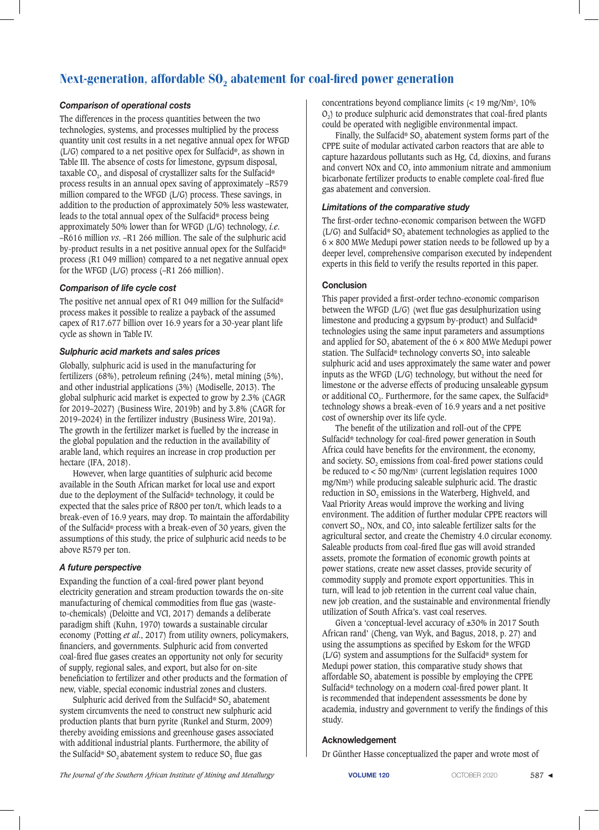# *Comparison of operational costs*

The differences in the process quantities between the two technologies, systems, and processes multiplied by the process quantity unit cost results in a net negative annual opex for WFGD (L/G) compared to a net positive opex for Sulfacid®, as shown in Table III. The absence of costs for limestone, gypsum disposal, taxable  $CO<sub>2</sub>$ , and disposal of crystallizer salts for the Sulfacid® process results in an annual opex saving of approximately –R579 million compared to the WFGD (L/G) process. These savings, in addition to the production of approximately 50% less wastewater, leads to the total annual opex of the Sulfacid® process being approximately 50% lower than for WFGD (L/G) technology, *i.e*. –R616 million *vs*. –R1 266 million. The sale of the sulphuric acid by-product results in a net positive annual opex for the Sulfacid® process (R1 049 million) compared to a net negative annual opex for the WFGD (L/G) process (–R1 266 million).

# *Comparison of life cycle cost*

The positive net annual opex of R1 049 million for the Sulfacid® process makes it possible to realize a payback of the assumed capex of R17.677 billion over 16.9 years for a 30-year plant life cycle as shown in Table IV.

# *Sulphuric acid markets and sales prices*

Globally, sulphuric acid is used in the manufacturing for fertilizers (68%), petroleum refining (24%), metal mining (5%), and other industrial applications (3%) (Modiselle, 2013). The global sulphuric acid market is expected to grow by 2.3% (CAGR for 2019–2027) (Business Wire, 2019b) and by 3.8% (CAGR for 2019–2024) in the fertilizer industry (Business Wire, 2019a). The growth in the fertilizer market is fuelled by the increase in the global population and the reduction in the availability of arable land, which requires an increase in crop production per hectare (IFA, 2018).

However, when large quantities of sulphuric acid become available in the South African market for local use and export due to the deployment of the Sulfacid® technology, it could be expected that the sales price of R800 per ton/t, which leads to a break-even of 16.9 years, may drop. To maintain the affordability of the Sulfacid® process with a break-even of 30 years, given the assumptions of this study, the price of sulphuric acid needs to be above R579 per ton.

# *A future perspective*

Expanding the function of a coal-fired power plant beyond electricity generation and stream production towards the on-site manufacturing of chemical commodities from flue gas (wasteto-chemicals) (Deloitte and VCI, 2017) demands a deliberate paradigm shift (Kuhn, 1970) towards a sustainable circular economy (Potting *et al*., 2017) from utility owners, policymakers, financiers, and governments. Sulphuric acid from converted coal-fired flue gases creates an opportunity not only for security of supply, regional sales, and export, but also for on-site beneficiation to fertilizer and other products and the formation of new, viable, special economic industrial zones and clusters.

Sulphuric acid derived from the Sulfacid<sup>®</sup> SO<sub>2</sub> abatement system circumvents the need to construct new sulphuric acid production plants that burn pyrite (Runkel and Sturm, 2009) thereby avoiding emissions and greenhouse gases associated with additional industrial plants. Furthermore, the ability of the Sulfacid®  $SO_2$  abatement system to reduce  $SO_2$  flue gas

concentrations beyond compliance limits (< 19 mg/Nm3, 10%  $O<sub>2</sub>$ ) to produce sulphuric acid demonstrates that coal-fired plants could be operated with negligible environmental impact.

Finally, the Sulfacid® SO, abatement system forms part of the CPPE suite of modular activated carbon reactors that are able to capture hazardous pollutants such as Hg, Cd, dioxins, and furans and convert NO<sub>x</sub> and CO<sub>2</sub> into ammonium nitrate and ammonium bicarbonate fertilizer products to enable complete coal-fired flue gas abatement and conversion.

# *Limitations of the comparative study*

The first-order techno-economic comparison between the WGFD ( $L/G$ ) and Sulfacid® SO<sub>2</sub> abatement technologies as applied to the  $6 \times 800$  MWe Medupi power station needs to be followed up by a deeper level, comprehensive comparison executed by independent experts in this field to verify the results reported in this paper.

# **Conclusion**

This paper provided a first-order techno-economic comparison between the WFGD (L/G) (wet flue gas desulphurization using limestone and producing a gypsum by-product) and Sulfacid® technologies using the same input parameters and assumptions and applied for SO<sub>2</sub> abatement of the  $6 \times 800$  MWe Medupi power station. The Sulfacid® technology converts SO<sub>2</sub> into saleable sulphuric acid and uses approximately the same water and power inputs as the WFGD (L/G) technology, but without the need for limestone or the adverse effects of producing unsaleable gypsum or additional CO<sub>2</sub>. Furthermore, for the same capex, the Sulfacid<sup>®</sup> technology shows a break-even of 16.9 years and a net positive cost of ownership over its life cycle.

The benefit of the utilization and roll-out of the CPPE Sulfacid® technology for coal-fired power generation in South Africa could have benefits for the environment, the economy, and society. SO<sub>2</sub> emissions from coal-fired power stations could be reduced to < 50 mg/Nm3 (current legislation requires 1000 mg/Nm3) while producing saleable sulphuric acid. The drastic reduction in SO<sub>2</sub> emissions in the Waterberg, Highveld, and Vaal Priority Areas would improve the working and living environment. The addition of further modular CPPE reactors will convert  $SO<sub>2</sub>$ , NOx, and  $CO<sub>2</sub>$  into saleable fertilizer salts for the agricultural sector, and create the Chemistry 4.0 circular economy. Saleable products from coal-fired flue gas will avoid stranded assets, promote the formation of economic growth points at power stations, create new asset classes, provide security of commodity supply and promote export opportunities. This in turn, will lead to job retention in the current coal value chain, new job creation, and the sustainable and environmental friendly utilization of South Africa's. vast coal reserves.

Given a 'conceptual-level accuracy of ±30% in 2017 South African rand' (Cheng, van Wyk, and Bagus, 2018, p. 27) and using the assumptions as specified by Eskom for the WFGD (L/G) system and assumptions for the Sulfacid® system for Medupi power station, this comparative study shows that affordable  $SO<sub>2</sub>$  abatement is possible by employing the CPPE Sulfacid® technology on a modern coal-fired power plant. It is recommended that independent assessments be done by academia, industry and government to verify the findings of this study.

# **Acknowledgement**

Dr Günther Hasse conceptualized the paper and wrote most of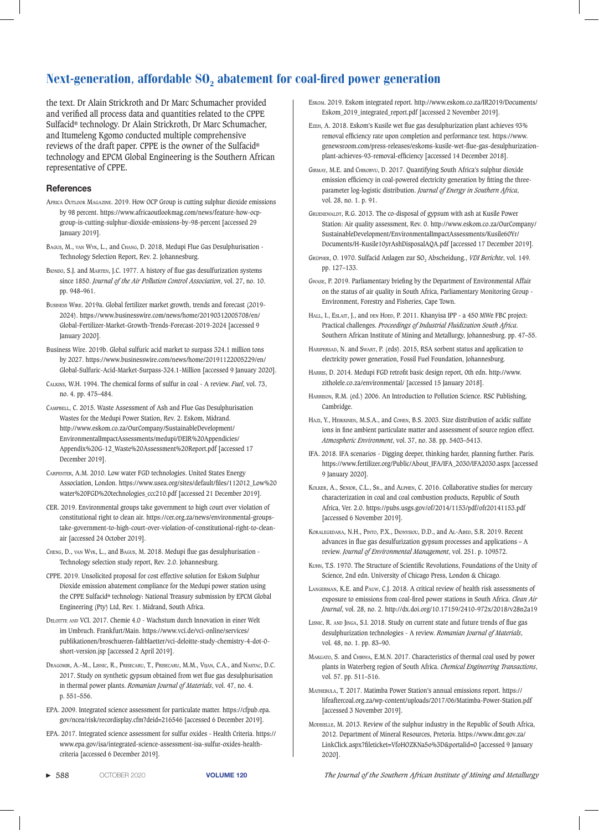the text. Dr Alain Strickroth and Dr Marc Schumacher provided and verified all process data and quantities related to the CPPE Sulfacid® technology. Dr Alain Strickroth, Dr Marc Schumacher, and Itumeleng Kgomo conducted multiple comprehensive reviews of the draft paper. CPPE is the owner of the Sulfacid® technology and EPCM Global Engineering is the Southern African representative of CPPE.

#### **References**

- Africa Outlook Magazine. 2019. How OCP Group is cutting sulphur dioxide emissions by 98 percent. https://www.africaoutlookmag.com/news/feature-how-ocpgroup-is-cutting-sulphur-dioxide-emissions-by-98-percent [accessed 29 January 2019].
- Bagus, M., van Wyk, L., and Chang, D. 2018, Medupi Flue Gas Desulphurisation Technology Selection Report, Rev. 2. Johannesburg.
- BIONDO, S.J. and MARTEN, J.C. 1977. A history of flue gas desulfurization systems since 1850. *Journal of the Air Pollution Control Association*, vol. 27, no. 10. pp. 948–961.
- Business Wire. 2019a. Global fertilizer market growth, trends and forecast (2019- 2024). https://www.businesswire.com/news/home/20190312005708/en/ Global-Fertilizer-Market-Growth-Trends-Forecast-2019-2024 [accessed 9 January 2020].
- Business Wire. 2019b. Global sulfuric acid market to surpass 324.1 million tons by 2027. https://www.businesswire.com/news/home/20191122005229/en/ Global-Sulfuric-Acid-Market-Surpass-324.1-Million [accessed 9 January 2020].
- Calkins, W.H. 1994. The chemical forms of sulfur in coal A review. *Fuel*, vol. 73, no. 4. pp. 475–484.
- Campbell, C. 2015. Waste Assessment of Ash and Flue Gas Desulphurisation Wastes for the Medupi Power Station, Rev. 2. Eskom, Midrand. http://www.eskom.co.za/OurCompany/SustainableDevelopment/ EnvironmentalImpactAssessments/medupi/DEIR%20Appendicies/ Appendix%20G-12\_Waste%20Assessment%20Report.pdf [accessed 17 December 2019].
- Carpenter, A.M. 2010. Low water FGD technologies. United States Energy Association, London. https://www.usea.org/sites/default/files/112012\_Low%20 water%20FGD%20technologies\_ccc210.pdf [accessed 21 December 2019].
- CER. 2019. Environmental groups take government to high court over violation of constitutional right to clean air. https://cer.org.za/news/environmental-groupstake-government-to-high-court-over-violation-of-constitutional-right-to-cleanair [accessed 24 October 2019].
- Cheng, D., van Wyk, L., and Bagus, M. 2018. Medupi flue gas desulphurisation Technology selection study report, Rev. 2.0. Johannesburg.
- CPPE. 2019. Unsolicited proposal for cost effective solution for Eskom Sulphur Dioxide emission abatement compliance for the Medupi power station using the CPPE Sulfacid® technology: National Treasury submission by EPCM Global Engineering (Pty) Ltd, Rev. 1. Midrand, South Africa.
- Deloitte and VCI. 2017. Chemie 4.0 Wachstum durch Innovation in einer Welt im Umbruch. Frankfurt/Main. https://www.vci.de/vci-online/services/ publikationen/broschueren-faltblaetter/vci-deloitte-study-chemistry-4-dot-0 short-version.jsp [accessed 2 April 2019].
- Dragomir, A.-M., Lisnic, R., Prisecaru, T., Prisecaru, M.M., Vijan, C.A., and Nastac, D.C. 2017. Study on synthetic gypsum obtained from wet flue gas desulphurisation in thermal power plants. *Romanian Journal of Materials*, vol. 47, no. 4. p. 551–556.
- EPA. 2009. Integrated science assessment for particulate matter. https://cfpub.epa. gov/ncea/risk/recordisplay.cfm?deid=216546 [accessed 6 December 2019].
- EPA. 2017. Integrated science assessment for sulfur oxides Health Criteria. https:// www.epa.gov/isa/integrated-science-assessment-isa-sulfur-oxides-healthcriteria [accessed 6 December 2019].
- 
- Eskom. 2019. Eskom integrated report. http://www.eskom.co.za/IR2019/Documents/ Eskom 2019 integrated report.pdf [accessed 2 November 2019].
- Ezeh, A. 2018. Eskom's Kusile wet flue gas desulphurization plant achieves 93% removal efficiency rate upon completion and performance test. https://www. genewsroom.com/press-releases/eskoms-kusile-wet-flue-gas-desulphurizationplant-achieves-93-removal-efficiency [accessed 14 December 2018].
- Girmay, M.E. and Chikobvu, D. 2017. Quantifying South Africa's sulphur dioxide emission efficiency in coal-powered electricity generation by fitting the threeparameter log-logistic distribution. *Journal of Energy in Southern Africa*, vol. 28, no. 1. p. 91.
- Gruenewaldt, R.G. 2013. The co-disposal of gypsum with ash at Kusile Power Station: Air quality assessment, Rev. 0. http://www.eskom.co.za/OurCompany/ SustainableDevelopment/EnvironmentalImpactAssessments/Kusile60Yr/ Documents/H-Kusile10yrAshDisposalAQA.pdf [accessed 17 December 2019].
- Grüpner, O. 1970. Sulfacid Anlagen zur SO2 Abscheidung., *VDI Berichte*, vol. 149. pp. 127–133.
- Gwase, P. 2019. Parliamentary briefing by the Department of Environmental Affair on the status of air quality in South Africa, Parliamentary Monitoring Group - Environment, Forestry and Fisheries, Cape Town.
- HALL, I., ESLAIT, J., and DEN HOED, P. 2011. Khanyisa IPP a 450 MWe FBC project: Practical challenges. *Proceedings of Industrial Fluidization South Africa*. Southern African Institute of Mining and Metallurgy, Johannesburg. pp. 47–55.
- HARIPERSAD, N. and SWART, P. (eds). 2015, RSA sorbent status and application to electricity power generation, Fossil Fuel Foundation, Johannesburg.
- Harris, D. 2014. Medupi FGD retrofit basic design report, 0th edn. http://www. zitholele.co.za/environmental/ [accessed 15 January 2018].
- Harrison, R.M. (ed.) 2006. An Introduction to Pollution Science. RSC Publishing, Cambridge.
- Hazi, Y., Heikkinen, M.S.A., and Cohen, B.S. 2003. Size distribution of acidic sulfate ions in fine ambient particulate matter and assessment of source region effect. *Atmospheric Environment*, vol. 37, no. 38. pp. 5403–5413.
- IFA. 2018. IFA scenarios Digging deeper, thinking harder, planning further. Paris. https://www.fertilizer.org/Public/About\_IFA/IFA\_2030/IFA2030.aspx [accessed 9 January 2020].
- Kolker, A., Senior, C.L., Sr., and Alphen, C. 2016. Collaborative studies for mercury characterization in coal and coal combustion products, Republic of South Africa, Ver. 2.0. https://pubs.usgs.gov/of/2014/1153/pdf/ofr20141153.pdf [accessed 6 November 2019].
- Koralegedara, N.H., Pinto, P.X., Dionysiou, D.D., and Al-Abed, S.R. 2019. Recent advances in flue gas desulfurization gypsum processes and applications – A review. *Journal of Environmental Management*, vol. 251. p. 109572.
- Kuhn, T.S. 1970. The Structure of Scientific Revolutions, Foundations of the Unity of Science, 2nd edn. University of Chicago Press, London & Chicago.
- Langerman, K.E. and Pauw, C.J. 2018. A critical review of health risk assessments of exposure to emissions from coal-fired power stations in South Africa. *Clean Air Journal*, vol. 28, no. 2. http://dx.doi.org/10.17159/2410-972x/2018/v28n2a19
- Lisnic, R. and Jinga, S.I. 2018. Study on current state and future trends of flue gas desulphurization technologies - A review. *Romanian Journal of Materials*, vol. 48, no. 1. pp. 83–90.
- Makgato, S. and Chirwa, E.M.N. 2017. Characteristics of thermal coal used by power plants in Waterberg region of South Africa. *Chemical Engineering Transactions*, vol. 57. pp. 511–516.
- Mathebula, T. 2017. Matimba Power Station's annual emissions report. https:// lifeaftercoal.org.za/wp-content/uploads/2017/06/Matimba-Power-Station.pdf [accessed 3 November 2019].
- Modiselle, M. 2013. Review of the sulphur industry in the Republic of South Africa, 2012. Department of Mineral Resources, Pretoria. https://www.dmr.gov.za/ LinkClick.aspx?fileticket=VfoHOZKNa5o%3D&portalid=0 [accessed 9 January 2020].